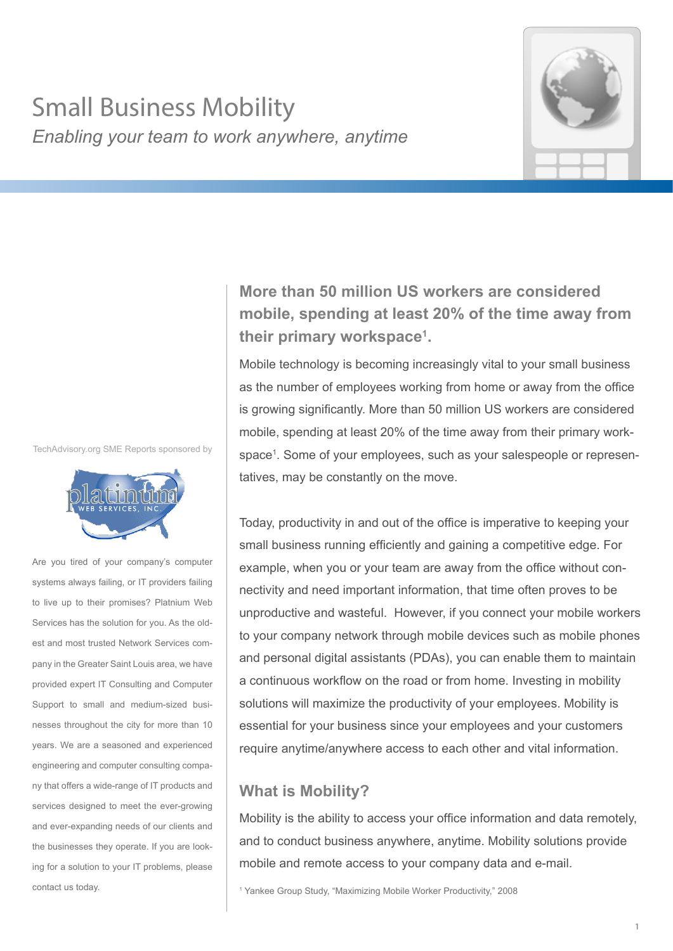# Small Business Mobility *Enabling your team to work anywhere, anytime*



TechAdvisory.org SME Reports sponsored by



Are you tired of your company's computer systems always failing, or IT providers failing to live up to their promises? Platnium Web Services has the solution for you. As the oldest and most trusted Network Services company in the Greater Saint Louis area, we have provided expert IT Consulting and Computer Support to small and medium-sized businesses throughout the city for more than 10 years. We are a seasoned and experienced engineering and computer consulting company that offers a wide-range of IT products and services designed to meet the ever-growing and ever-expanding needs of our clients and the businesses they operate. If you are looking for a solution to your IT problems, please contact us today.

# **More than 50 million US workers are considered mobile, spending at least 20% of the time away from their primary workspace1 .**

Mobile technology is becoming increasingly vital to your small business as the number of employees working from home or away from the office is growing significantly. More than 50 million US workers are considered mobile, spending at least 20% of the time away from their primary workspace1 . Some of your employees, such as your salespeople or representatives, may be constantly on the move.

Today, productivity in and out of the office is imperative to keeping your small business running efficiently and gaining a competitive edge. For example, when you or your team are away from the office without connectivity and need important information, that time often proves to be unproductive and wasteful. However, if you connect your mobile workers to your company network through mobile devices such as mobile phones and personal digital assistants (PDAs), you can enable them to maintain a continuous workflow on the road or from home. Investing in mobility solutions will maximize the productivity of your employees. Mobility is essential for your business since your employees and your customers require anytime/anywhere access to each other and vital information.

#### **What is Mobility?**

Mobility is the ability to access your office information and data remotely, and to conduct business anywhere, anytime. Mobility solutions provide mobile and remote access to your company data and e-mail.

<sup>1</sup> Yankee Group Study, "Maximizing Mobile Worker Productivity," 2008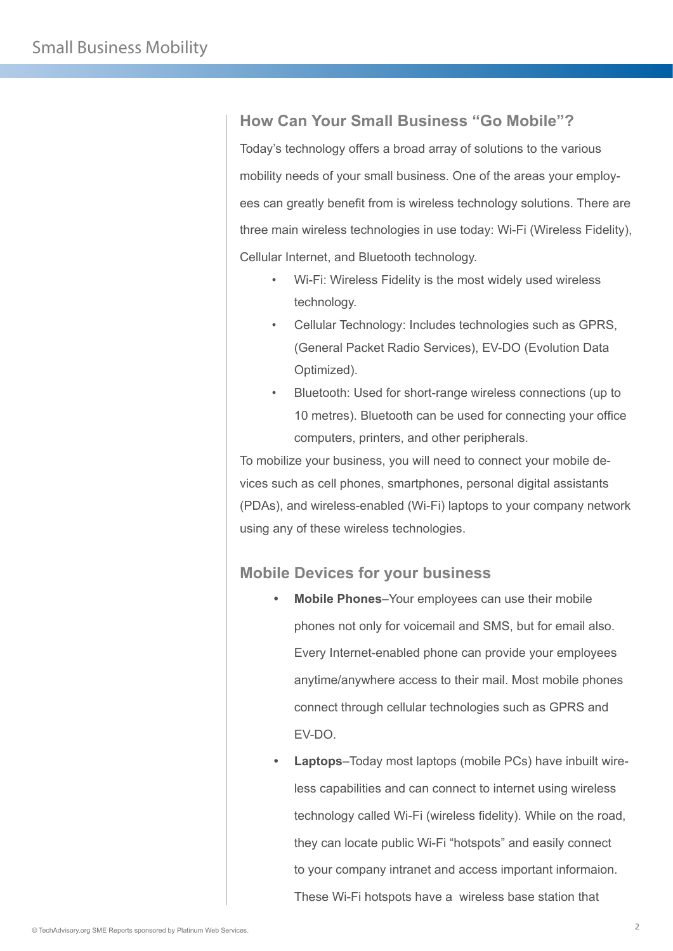#### **How Can Your Small Business "Go Mobile"?**

Today's technology offers a broad array of solutions to the various mobility needs of your small business. One of the areas your employees can greatly benefit from is wireless technology solutions. There are three main wireless technologies in use today: Wi-Fi (Wireless Fidelity), Cellular Internet, and Bluetooth technology.

- Wi-Fi: Wireless Fidelity is the most widely used wireless technology.
- Cellular Technology: Includes technologies such as GPRS, (General Packet Radio Services), EV-DO (Evolution Data Optimized).
- Bluetooth: Used for short-range wireless connections (up to 10 metres). Bluetooth can be used for connecting your office computers, printers, and other peripherals.

To mobilize your business, you will need to connect your mobile devices such as cell phones, smartphones, personal digital assistants (PDAs), and wireless-enabled (Wi-Fi) laptops to your company network using any of these wireless technologies.

#### **Mobile Devices for your business**

- **• Mobile Phones**–Your employees can use their mobile phones not only for voicemail and SMS, but for email also. Every Internet-enabled phone can provide your employees anytime/anywhere access to their mail. Most mobile phones connect through cellular technologies such as GPRS and EV-DO.
- **• Laptops**–Today most laptops (mobile PCs) have inbuilt wireless capabilities and can connect to internet using wireless technology called Wi-Fi (wireless fidelity). While on the road, they can locate public Wi-Fi "hotspots" and easily connect to your company intranet and access important informaion. These Wi-Fi hotspots have a wireless base station that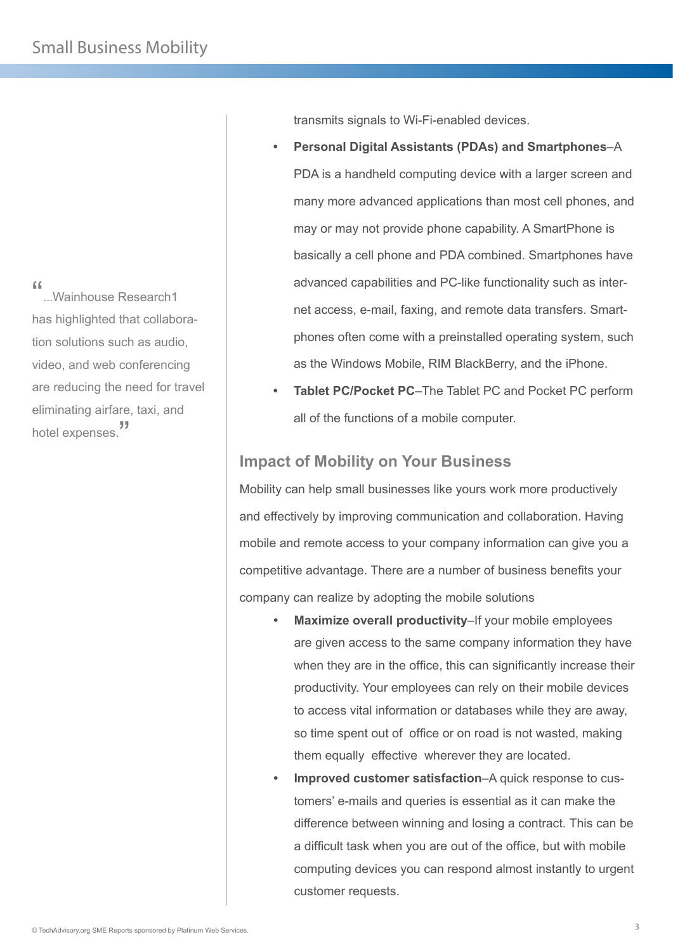"...<br>"...Wainhouse Research1... has highlighted that collaboration solutions such as audio, video, and web conferencing are reducing the need for travel eliminating airfare, taxi, and hotel expenses.<sup>"</sup>

transmits signals to Wi-Fi-enabled devices.

- **• Personal Digital Assistants (PDAs) and Smartphones**–A PDA is a handheld computing device with a larger screen and many more advanced applications than most cell phones, and may or may not provide phone capability. A SmartPhone is basically a cell phone and PDA combined. Smartphones have advanced capabilities and PC-like functionality such as internet access, e-mail, faxing, and remote data transfers. Smartphones often come with a preinstalled operating system, such as the Windows Mobile, RIM BlackBerry, and the iPhone.
- **• Tablet PC/Pocket PC**–The Tablet PC and Pocket PC perform all of the functions of a mobile computer.

### **Impact of Mobility on Your Business**

Mobility can help small businesses like yours work more productively and effectively by improving communication and collaboration. Having mobile and remote access to your company information can give you a competitive advantage. There are a number of business benefits your company can realize by adopting the mobile solutions

- **• Maximize overall productivity**–If your mobile employees are given access to the same company information they have when they are in the office, this can significantly increase their productivity. Your employees can rely on their mobile devices to access vital information or databases while they are away, so time spent out of office or on road is not wasted, making them equally effective wherever they are located.
- **• Improved customer satisfaction**–A quick response to customers' e-mails and queries is essential as it can make the difference between winning and losing a contract. This can be a difficult task when you are out of the office, but with mobile computing devices you can respond almost instantly to urgent customer requests.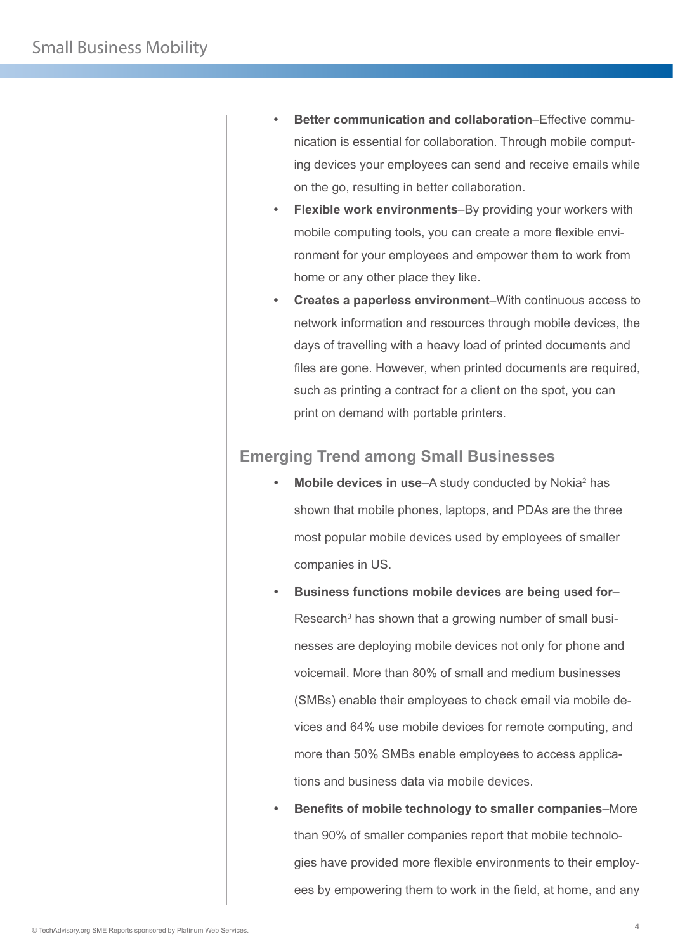- **• Better communication and collaboration**–Effective communication is essential for collaboration. Through mobile computing devices your employees can send and receive emails while on the go, resulting in better collaboration.
- **• Flexible work environments**–By providing your workers with mobile computing tools, you can create a more flexible environment for your employees and empower them to work from home or any other place they like.
- **• Creates a paperless environment**–With continuous access to network information and resources through mobile devices, the days of travelling with a heavy load of printed documents and files are gone. However, when printed documents are required, such as printing a contract for a client on the spot, you can print on demand with portable printers.

## **Emerging Trend among Small Businesses**

- Mobile devices in use–A study conducted by Nokia<sup>2</sup> has shown that mobile phones, laptops, and PDAs are the three most popular mobile devices used by employees of smaller companies in US.
- **• Business functions mobile devices are being used for** Research<sup>3</sup> has shown that a growing number of small businesses are deploying mobile devices not only for phone and voicemail. More than 80% of small and medium businesses (SMBs) enable their employees to check email via mobile devices and 64% use mobile devices for remote computing, and more than 50% SMBs enable employees to access applications and business data via mobile devices.
- **• Benefits of mobile technology to smaller companies**–More than 90% of smaller companies report that mobile technologies have provided more flexible environments to their employees by empowering them to work in the field, at home, and any